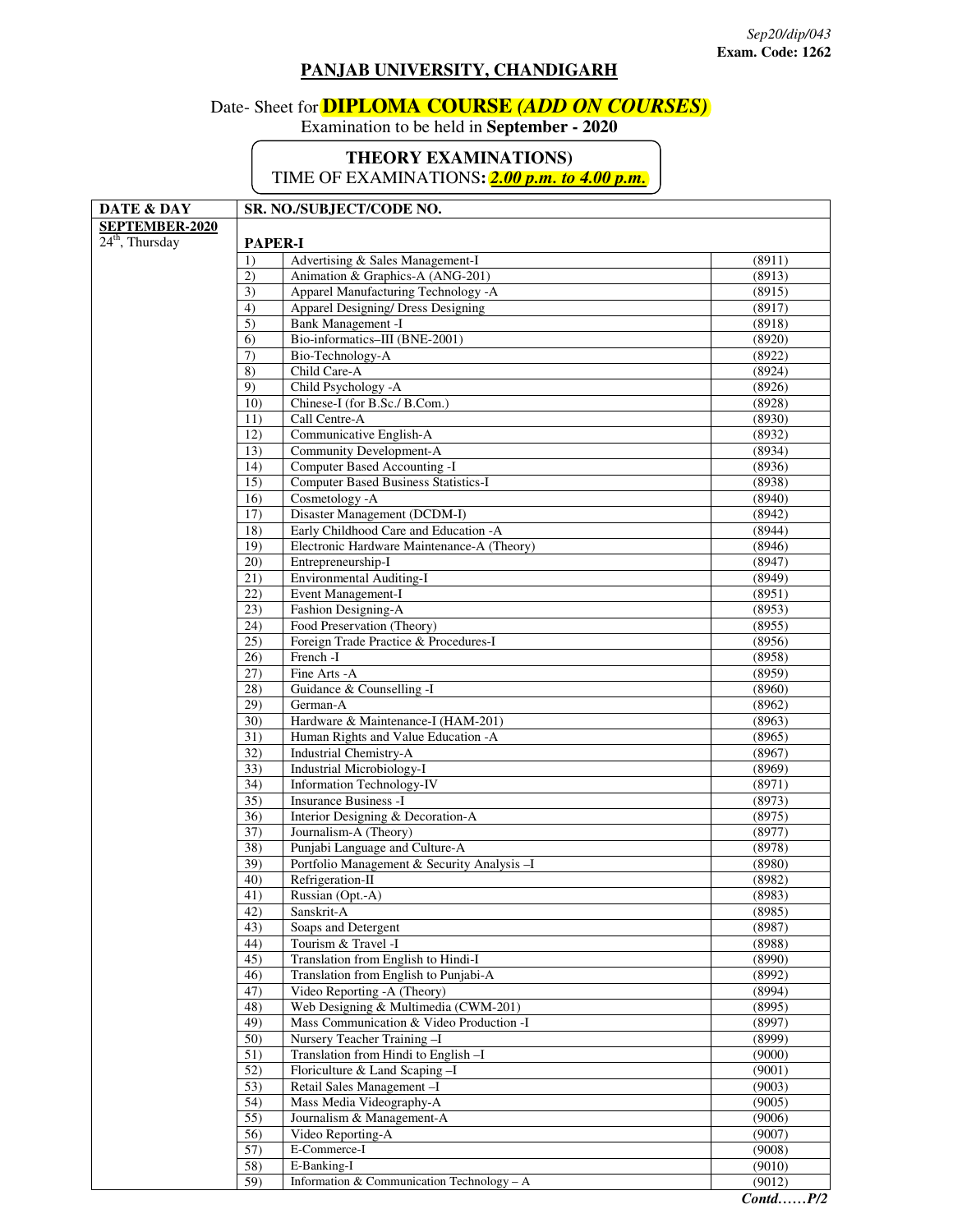## **PANJAB UNIVERSITY, CHANDIGARH**

## Date- Sheet for **DIPLOMA COURSE** *(ADD ON COURSES)*

Examination to be held in **September - 2020** 

## **THEORY EXAMINATIONS)**

TIME OF EXAMINATIONS**:** *2.00 p.m. to 4.00 p.m.*

| DATE & DAY        | SR. NO./SUBJECT/CODE NO. |                                              |        |  |
|-------------------|--------------------------|----------------------------------------------|--------|--|
| SEPTEMBER-2020    |                          |                                              |        |  |
| $24th$ , Thursday | <b>PAPER-I</b>           |                                              |        |  |
|                   | 1)                       | Advertising & Sales Management-I             | (8911) |  |
|                   | 2)                       | Animation & Graphics-A (ANG-201)             | (8913) |  |
|                   | $\overline{3)}$          | Apparel Manufacturing Technology -A          | (8915) |  |
|                   | 4)                       | Apparel Designing/ Dress Designing           | (8917) |  |
|                   | 5)                       | Bank Management -I                           | (8918) |  |
|                   | 6)                       | Bio-informatics-III (BNE-2001)               | (8920) |  |
|                   | 7)                       | Bio-Technology-A                             | (8922) |  |
|                   | 8)                       | Child Care-A                                 | (8924) |  |
|                   | 9)                       | Child Psychology - A                         | (8926) |  |
|                   | 10)                      | Chinese-I (for B.Sc./ B.Com.)                | (8928) |  |
|                   | 11)                      | Call Centre-A                                | (8930) |  |
|                   | 12)                      | Communicative English-A                      | (8932) |  |
|                   | 13)                      | Community Development-A                      | (8934) |  |
|                   | 14)                      | Computer Based Accounting -I                 | (8936) |  |
|                   | 15)                      | Computer Based Business Statistics-I         | (8938) |  |
|                   | 16)                      | Cosmetology - A                              | (8940) |  |
|                   | 17)                      | Disaster Management (DCDM-I)                 | (8942) |  |
|                   | 18)                      | Early Childhood Care and Education -A        | (8944) |  |
|                   | 19)                      | Electronic Hardware Maintenance-A (Theory)   | (8946) |  |
|                   | 20)                      | Entrepreneurship-I                           | (8947) |  |
|                   | $\overline{21}$          | Environmental Auditing-I                     | (8949) |  |
|                   | 22)                      | Event Management-I                           | (8951) |  |
|                   | 23)                      | Fashion Designing-A                          | (8953) |  |
|                   | (24)                     | Food Preservation (Theory)                   | (8955) |  |
|                   | 25)                      | Foreign Trade Practice & Procedures-I        | (8956) |  |
|                   | 26)                      | French -I                                    | (8958) |  |
|                   | 27)                      | Fine Arts - A                                | (8959) |  |
|                   | 28)                      | Guidance & Counselling -I                    | (8960) |  |
|                   | 29)                      | German-A                                     | (8962) |  |
|                   | 30)                      | Hardware & Maintenance-I (HAM-201)           | (8963) |  |
|                   | 31)                      | Human Rights and Value Education -A          | (8965) |  |
|                   | $\overline{32)}$         | <b>Industrial Chemistry-A</b>                | (8967) |  |
|                   | 33)                      | Industrial Microbiology-I                    | (8969) |  |
|                   | 34)                      | Information Technology-IV                    | (8971) |  |
|                   | 35)                      | <b>Insurance Business -I</b>                 | (8973) |  |
|                   | 36)                      | Interior Designing & Decoration-A            | (8975) |  |
|                   | 37)                      | Journalism-A (Theory)                        | (8977) |  |
|                   | 38)                      | Punjabi Language and Culture-A               | (8978) |  |
|                   | 39)                      | Portfolio Management & Security Analysis - I | (8980) |  |
|                   | 40)                      | Refrigeration-II                             | (8982) |  |
|                   | 41)                      | Russian (Opt.-A)                             | (8983) |  |
|                   | 42)                      | Sanskrit-A                                   | (8985) |  |
|                   | 43)                      | Soaps and Detergent                          | (8987) |  |
|                   | 44)                      | Tourism & Travel -I                          | (8988) |  |
|                   | 45)                      | Translation from English to Hindi-I          | (8990) |  |
|                   | 46)                      | Translation from English to Punjabi-A        | (8992) |  |
|                   | 47)                      | Video Reporting -A (Theory)                  | (8994) |  |
|                   | 48)                      | Web Designing & Multimedia (CWM-201)         | (8995) |  |
|                   | 49)                      | Mass Communication & Video Production -I     | (8997) |  |
|                   | 50)                      | Nursery Teacher Training -I                  | (8999) |  |
|                   | $\overline{51}$          | Translation from Hindi to English -I         | (9000) |  |
|                   | 52)                      | Floriculture & Land Scaping -I               | (9001) |  |
|                   | 53)                      | Retail Sales Management-I                    | (9003) |  |
|                   | 54)                      | Mass Media Videography-A                     | (9005) |  |
|                   | 55)                      | Journalism & Management-A                    | (9006) |  |
|                   | 56)                      | Video Reporting-A                            | (9007) |  |
|                   | 57)                      | E-Commerce-I                                 | (9008) |  |
|                   | $\overline{58)}$         | E-Banking-I                                  | (9010) |  |
|                   | 59)                      | Information & Communication Technology $-A$  | (9012) |  |
|                   |                          |                                              |        |  |